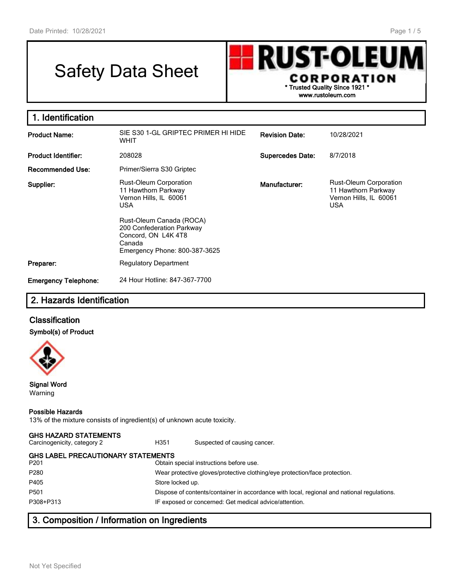# Safety Data Sheet



| 1. Identification           |                                                                                                                   |                         |                                                                                              |
|-----------------------------|-------------------------------------------------------------------------------------------------------------------|-------------------------|----------------------------------------------------------------------------------------------|
| <b>Product Name:</b>        | SIE S30 1-GL GRIPTEC PRIMER HI HIDE<br><b>WHIT</b>                                                                | <b>Revision Date:</b>   | 10/28/2021                                                                                   |
| <b>Product Identifier:</b>  | 208028                                                                                                            | <b>Supercedes Date:</b> | 8/7/2018                                                                                     |
| Recommended Use:            | Primer/Sierra S30 Griptec                                                                                         |                         |                                                                                              |
| Supplier:                   | Rust-Oleum Corporation<br>11 Hawthorn Parkway<br>Vernon Hills, IL 60061<br><b>USA</b><br>Rust-Oleum Canada (ROCA) | Manufacturer:           | <b>Rust-Oleum Corporation</b><br>11 Hawthorn Parkway<br>Vernon Hills, IL 60061<br><b>USA</b> |
|                             | 200 Confederation Parkway<br>Concord, ON L4K 4T8<br>Canada<br>Emergency Phone: 800-387-3625                       |                         |                                                                                              |
| Preparer:                   | <b>Regulatory Department</b>                                                                                      |                         |                                                                                              |
| <b>Emergency Telephone:</b> | 24 Hour Hotline: 847-367-7700                                                                                     |                         |                                                                                              |

## **2. Hazards Identification**

## **Classification**

#### **Symbol(s) of Product**



#### **Signal Word** Warning

#### **Possible Hazards**

13% of the mixture consists of ingredient(s) of unknown acute toxicity.

#### **GHS HAZARD STATEMENTS**

Carcinogenicity, category 2 **H351** Suspected of causing cancer.

| GHS LABEL PRECAUTIONARY STATEMENTS |  |
|------------------------------------|--|
|                                    |  |

P201 Obtain special instructions before use. P280 Wear protective gloves/protective clothing/eye protection/face protection. P405 Store locked up. P501 Dispose of contents/container in accordance with local, regional and national regulations. P308+P313 IF exposed or concerned: Get medical advice/attention.

## **3. Composition / Information on Ingredients**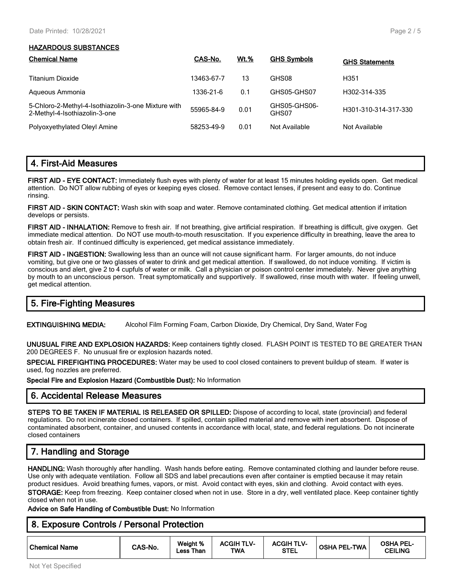#### **HAZARDOUS SUBSTANCES**

| <b>Chemical Name</b>                                                                 | CAS-No.    | <b>Wt.%</b> | <b>GHS Symbols</b>    | <b>GHS Statements</b> |
|--------------------------------------------------------------------------------------|------------|-------------|-----------------------|-----------------------|
| Titanium Dioxide                                                                     | 13463-67-7 | 13          | GHS08                 | H351                  |
| Aqueous Ammonia                                                                      | 1336-21-6  | 0.1         | GHS05-GHS07           | H302-314-335          |
| 5-Chloro-2-Methyl-4-Isothiazolin-3-one Mixture with<br>2-Methyl-4-Isothiazolin-3-one | 55965-84-9 | 0.01        | GHS05-GHS06-<br>GHS07 | H301-310-314-317-330  |
| Polyoxyethylated Oleyl Amine                                                         | 58253-49-9 | 0.01        | Not Available         | Not Available         |

## **4. First-Aid Measures**

**FIRST AID - EYE CONTACT:** Immediately flush eyes with plenty of water for at least 15 minutes holding eyelids open. Get medical attention. Do NOT allow rubbing of eyes or keeping eyes closed. Remove contact lenses, if present and easy to do. Continue rinsing.

**FIRST AID - SKIN CONTACT:** Wash skin with soap and water. Remove contaminated clothing. Get medical attention if irritation develops or persists.

**FIRST AID - INHALATION:** Remove to fresh air. If not breathing, give artificial respiration. If breathing is difficult, give oxygen. Get immediate medical attention. Do NOT use mouth-to-mouth resuscitation. If you experience difficulty in breathing, leave the area to obtain fresh air. If continued difficulty is experienced, get medical assistance immediately.

**FIRST AID - INGESTION:** Swallowing less than an ounce will not cause significant harm. For larger amounts, do not induce vomiting, but give one or two glasses of water to drink and get medical attention. If swallowed, do not induce vomiting. If victim is conscious and alert, give 2 to 4 cupfuls of water or milk. Call a physician or poison control center immediately. Never give anything by mouth to an unconscious person. Treat symptomatically and supportively. If swallowed, rinse mouth with water. If feeling unwell, get medical attention.

## **5. Fire-Fighting Measures**

**EXTINGUISHING MEDIA:** Alcohol Film Forming Foam, Carbon Dioxide, Dry Chemical, Dry Sand, Water Fog

**UNUSUAL FIRE AND EXPLOSION HAZARDS:** Keep containers tightly closed. FLASH POINT IS TESTED TO BE GREATER THAN 200 DEGREES F. No unusual fire or explosion hazards noted.

**SPECIAL FIREFIGHTING PROCEDURES:** Water may be used to cool closed containers to prevent buildup of steam. If water is used, fog nozzles are preferred.

**Special Fire and Explosion Hazard (Combustible Dust):** No Information

## **6. Accidental Release Measures**

**STEPS TO BE TAKEN IF MATERIAL IS RELEASED OR SPILLED:** Dispose of according to local, state (provincial) and federal regulations. Do not incinerate closed containers. If spilled, contain spilled material and remove with inert absorbent. Dispose of contaminated absorbent, container, and unused contents in accordance with local, state, and federal regulations. Do not incinerate closed containers

# **7. Handling and Storage**

**HANDLING:** Wash thoroughly after handling. Wash hands before eating. Remove contaminated clothing and launder before reuse. Use only with adequate ventilation. Follow all SDS and label precautions even after container is emptied because it may retain product residues. Avoid breathing fumes, vapors, or mist. Avoid contact with eyes, skin and clothing. Avoid contact with eyes. **STORAGE:** Keep from freezing. Keep container closed when not in use. Store in a dry, well ventilated place. Keep container tightly closed when not in use.

**Advice on Safe Handling of Combustible Dust:** No Information

## **8. Exposure Controls / Personal Protection**

| ' Chemical Name | CAS-No. | Weight %<br>Than<br><b>Less</b> | <b>ACGIH TLV-</b><br><b>TWA</b> | <b>ACGIH TLV-</b><br>STEL | <b>OSHA PEL-TWA</b> | OSHA PEL-<br><b>CEILING</b> |
|-----------------|---------|---------------------------------|---------------------------------|---------------------------|---------------------|-----------------------------|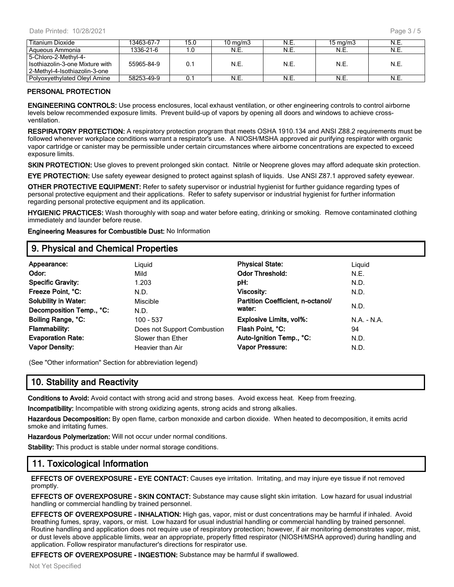| Titanium Dioxide                | 13463-67-7 | 15.0 | $10 \text{ mg/m}$ | N.E. | $15 \text{ ma/m}$ 3 | N.E. |
|---------------------------------|------------|------|-------------------|------|---------------------|------|
| Aqueous Ammonia                 | 1336-21-6  |      | N.E.              | N.E  | N.E.                | N.E. |
| 5-Chloro-2-Methyl-4-            |            |      |                   |      |                     |      |
| Isothiazolin-3-one Mixture with | 55965-84-9 | 0.1  | N.E.              | N.E  | N.E                 | N.E. |
| 2-Methyl-4-Isothiazolin-3-one   |            |      |                   |      |                     |      |
| Polyoxyethylated Oleyl Amine    | 58253-49-9 | 0.1  | N.E.              | N.E. | N.E.                |      |

#### **PERSONAL PROTECTION**

**ENGINEERING CONTROLS:** Use process enclosures, local exhaust ventilation, or other engineering controls to control airborne levels below recommended exposure limits. Prevent build-up of vapors by opening all doors and windows to achieve crossventilation.

**RESPIRATORY PROTECTION:** A respiratory protection program that meets OSHA 1910.134 and ANSI Z88.2 requirements must be followed whenever workplace conditions warrant a respirator's use. A NIOSH/MSHA approved air purifying respirator with organic vapor cartridge or canister may be permissible under certain circumstances where airborne concentrations are expected to exceed exposure limits.

**SKIN PROTECTION:** Use gloves to prevent prolonged skin contact. Nitrile or Neoprene gloves may afford adequate skin protection.

**EYE PROTECTION:** Use safety eyewear designed to protect against splash of liquids. Use ANSI Z87.1 approved safety eyewear.

**OTHER PROTECTIVE EQUIPMENT:** Refer to safety supervisor or industrial hygienist for further guidance regarding types of personal protective equipment and their applications. Refer to safety supervisor or industrial hygienist for further information regarding personal protective equipment and its application.

**HYGIENIC PRACTICES:** Wash thoroughly with soap and water before eating, drinking or smoking. Remove contaminated clothing immediately and launder before reuse.

**Engineering Measures for Combustible Dust:** No Information

#### **9. Physical and Chemical Properties**

| Appearance:                 | Liguid                      | <b>Physical State:</b>            | Liquid        |
|-----------------------------|-----------------------------|-----------------------------------|---------------|
| Odor:                       | Mild                        | <b>Odor Threshold:</b>            | N.E.          |
| <b>Specific Gravity:</b>    | 1.203                       | pH:                               | N.D.          |
| Freeze Point, °C:           | N.D.                        | <b>Viscosity:</b>                 | N.D.          |
| <b>Solubility in Water:</b> | <b>Miscible</b>             | Partition Coefficient, n-octanol/ |               |
| Decomposition Temp., °C:    | N.D.                        | water:                            | N.D.          |
| Boiling Range, °C:          | $100 - 537$                 | <b>Explosive Limits, vol%:</b>    | $N.A. - N.A.$ |
| <b>Flammability:</b>        | Does not Support Combustion | Flash Point, °C:                  | 94            |
| <b>Evaporation Rate:</b>    | Slower than Ether           | Auto-Ignition Temp., °C:          | N.D.          |
| <b>Vapor Density:</b>       | Heavier than Air            | Vapor Pressure:                   | N.D.          |

(See "Other information" Section for abbreviation legend)

## **10. Stability and Reactivity**

**Conditions to Avoid:** Avoid contact with strong acid and strong bases. Avoid excess heat. Keep from freezing.

**Incompatibility:** Incompatible with strong oxidizing agents, strong acids and strong alkalies.

**Hazardous Decomposition:** By open flame, carbon monoxide and carbon dioxide. When heated to decomposition, it emits acrid smoke and irritating fumes.

**Hazardous Polymerization:** Will not occur under normal conditions.

**Stability:** This product is stable under normal storage conditions.

## **11. Toxicological Information**

**EFFECTS OF OVEREXPOSURE - EYE CONTACT:** Causes eye irritation. Irritating, and may injure eye tissue if not removed promptly.

**EFFECTS OF OVEREXPOSURE - SKIN CONTACT:** Substance may cause slight skin irritation. Low hazard for usual industrial handling or commercial handling by trained personnel.

**EFFECTS OF OVEREXPOSURE - INHALATION:** High gas, vapor, mist or dust concentrations may be harmful if inhaled. Avoid breathing fumes, spray, vapors, or mist. Low hazard for usual industrial handling or commercial handling by trained personnel. Routine handling and application does not require use of respiratory protection; however, if air monitoring demonstrates vapor, mist, or dust levels above applicable limits, wear an appropriate, properly fitted respirator (NIOSH/MSHA approved) during handling and application. Follow respirator manufacturer's directions for respirator use.

**EFFECTS OF OVEREXPOSURE - INGESTION:** Substance may be harmful if swallowed.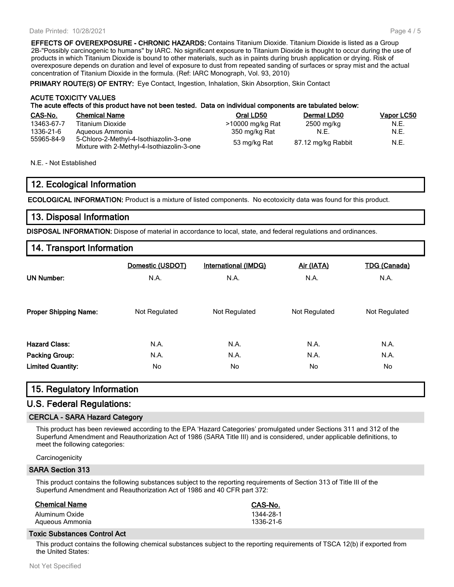#### Date Printed: 10/28/2021

**EFFECTS OF OVEREXPOSURE - CHRONIC HAZARDS:** Contains Titanium Dioxide. Titanium Dioxide is listed as a Group 2B-"Possibly carcinogenic to humans" by IARC. No significant exposure to Titanium Dioxide is thought to occur during the use of products in which Titanium Dioxide is bound to other materials, such as in paints during brush application or drying. Risk of overexposure depends on duration and level of exposure to dust from repeated sanding of surfaces or spray mist and the actual concentration of Titanium Dioxide in the formula. (Ref: IARC Monograph, Vol. 93, 2010)

**PRIMARY ROUTE(S) OF ENTRY:** Eye Contact, Ingestion, Inhalation, Skin Absorption, Skin Contact

#### **ACUTE TOXICITY VALUES The acute effects of this product have not been tested. Data on individual components are tabulated below:**

| CAS-No.    | <b>Chemical Name</b>                                                                 | Oral LD50        | Dermal LD50        | <b>Vapor LC50</b> |
|------------|--------------------------------------------------------------------------------------|------------------|--------------------|-------------------|
| 13463-67-7 | Titanium Dioxide                                                                     | >10000 mg/kg Rat | 2500 mg/kg         | N.E.              |
| 1336-21-6  | Aqueous Ammonia                                                                      | 350 mg/kg Rat    | N.E.               | N.E.              |
| 55965-84-9 | 5-Chloro-2-Methyl-4-Isothiazolin-3-one<br>Mixture with 2-Methyl-4-Isothiazolin-3-one | 53 mg/kg Rat     | 87.12 mg/kg Rabbit | N.E.              |

N.E. - Not Established

## **12. Ecological Information**

**ECOLOGICAL INFORMATION:** Product is a mixture of listed components. No ecotoxicity data was found for this product.

#### **13. Disposal Information**

**DISPOSAL INFORMATION:** Dispose of material in accordance to local, state, and federal regulations and ordinances.

## **14. Transport Information**

| <b>UN Number:</b>            | Domestic (USDOT)<br>N.A. | <b>International (IMDG)</b><br>N.A. | Air (IATA)<br>N.A. | <b>TDG (Canada)</b><br>N.A. |
|------------------------------|--------------------------|-------------------------------------|--------------------|-----------------------------|
| <b>Proper Shipping Name:</b> | Not Regulated            | Not Regulated                       | Not Regulated      | Not Regulated               |
| <b>Hazard Class:</b>         | N.A.                     | N.A.                                | N.A.               | N.A.                        |
| <b>Packing Group:</b>        | N.A.                     | N.A.                                | N.A.               | N.A.                        |
| <b>Limited Quantity:</b>     | No.                      | No                                  | No.                | No.                         |

## **15. Regulatory Information**

#### **U.S. Federal Regulations:**

#### **CERCLA - SARA Hazard Category**

This product has been reviewed according to the EPA 'Hazard Categories' promulgated under Sections 311 and 312 of the Superfund Amendment and Reauthorization Act of 1986 (SARA Title III) and is considered, under applicable definitions, to meet the following categories:

**Carcinogenicity** 

#### **SARA Section 313**

This product contains the following substances subject to the reporting requirements of Section 313 of Title III of the Superfund Amendment and Reauthorization Act of 1986 and 40 CFR part 372:

| <b>Chemical Name</b> | CAS-No.   |
|----------------------|-----------|
| Aluminum Oxide       | 1344-28-1 |
| Aqueous Ammonia      | 1336-21-6 |

#### **Toxic Substances Control Act**

This product contains the following chemical substances subject to the reporting requirements of TSCA 12(b) if exported from the United States: